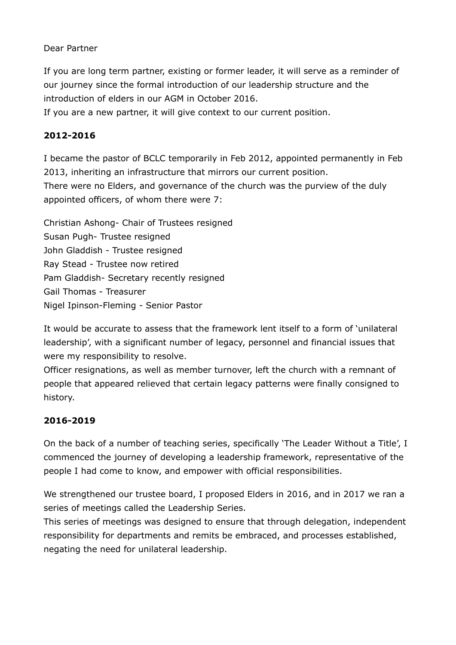## Dear Partner

If you are long term partner, existing or former leader, it will serve as a reminder of our journey since the formal introduction of our leadership structure and the introduction of elders in our AGM in October 2016.

If you are a new partner, it will give context to our current position.

## **2012-2016**

I became the pastor of BCLC temporarily in Feb 2012, appointed permanently in Feb 2013, inheriting an infrastructure that mirrors our current position.

There were no Elders, and governance of the church was the purview of the duly appointed officers, of whom there were 7:

Christian Ashong- Chair of Trustees resigned Susan Pugh- Trustee resigned John Gladdish - Trustee resigned Ray Stead - Trustee now retired Pam Gladdish- Secretary recently resigned Gail Thomas - Treasurer Nigel Ipinson-Fleming - Senior Pastor

It would be accurate to assess that the framework lent itself to a form of 'unilateral leadership', with a significant number of legacy, personnel and financial issues that were my responsibility to resolve.

Officer resignations, as well as member turnover, left the church with a remnant of people that appeared relieved that certain legacy patterns were finally consigned to history.

## **2016-2019**

On the back of a number of teaching series, specifically 'The Leader Without a Title', I commenced the journey of developing a leadership framework, representative of the people I had come to know, and empower with official responsibilities.

We strengthened our trustee board, I proposed Elders in 2016, and in 2017 we ran a series of meetings called the Leadership Series.

This series of meetings was designed to ensure that through delegation, independent responsibility for departments and remits be embraced, and processes established, negating the need for unilateral leadership.